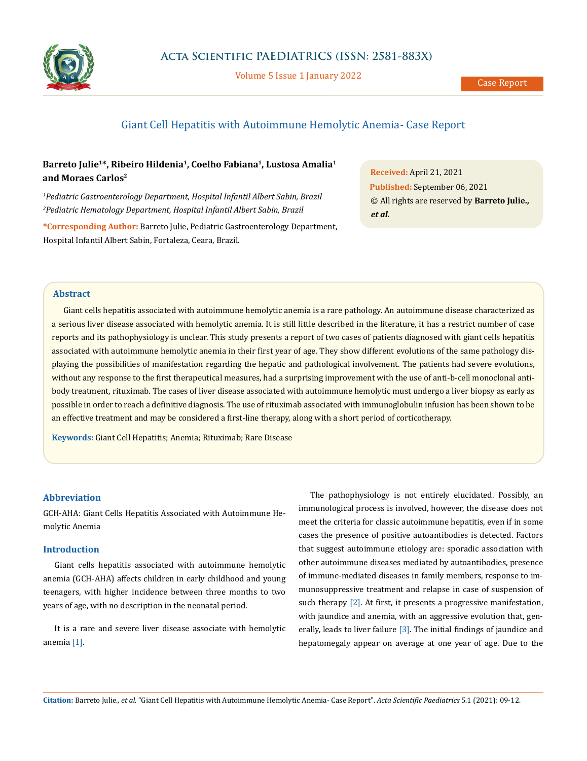

Volume 5 Issue 1 January 2022

# Giant Cell Hepatitis with Autoimmune Hemolytic Anemia- Case Report

# **Barreto Julie1\*, Ribeiro Hildenia1, Coelho Fabiana1, Lustosa Amalia1 and Moraes Carlos2**

*1 Pediatric Gastroenterology Department, Hospital Infantil Albert Sabin, Brazil 2 Pediatric Hematology Department, Hospital Infantil Albert Sabin, Brazil*

**\*Corresponding Author:** Barreto Julie, Pediatric Gastroenterology Department, Hospital Infantil Albert Sabin, Fortaleza, Ceara, Brazil.

**Received:** April 21, 2021 **Published:** September 06, 2021 © All rights are reserved by **Barreto Julie.,**  *et al.*

# **Abstract**

Giant cells hepatitis associated with autoimmune hemolytic anemia is a rare pathology. An autoimmune disease characterized as a serious liver disease associated with hemolytic anemia. It is still little described in the literature, it has a restrict number of case reports and its pathophysiology is unclear. This study presents a report of two cases of patients diagnosed with giant cells hepatitis associated with autoimmune hemolytic anemia in their first year of age. They show different evolutions of the same pathology displaying the possibilities of manifestation regarding the hepatic and pathological involvement. The patients had severe evolutions, without any response to the first therapeutical measures, had a surprising improvement with the use of anti-b-cell monoclonal antibody treatment, rituximab. The cases of liver disease associated with autoimmune hemolytic must undergo a liver biopsy as early as possible in order to reach a definitive diagnosis. The use of rituximab associated with immunoglobulin infusion has been shown to be an effective treatment and may be considered a first-line therapy, along with a short period of corticotherapy.

**Keywords:** Giant Cell Hepatitis; Anemia; Rituximab; Rare Disease

# **Abbreviation**

GCH-AHA: Giant Cells Hepatitis Associated with Autoimmune Hemolytic Anemia

## **Introduction**

Giant cells hepatitis associated with autoimmune hemolytic anemia (GCH-AHA) affects children in early childhood and young teenagers, with higher incidence between three months to two years of age, with no description in the neonatal period.

It is a rare and severe liver disease associate with hemolytic anemia [1].

The pathophysiology is not entirely elucidated. Possibly, an immunological process is involved, however, the disease does not meet the criteria for classic autoimmune hepatitis, even if in some cases the presence of positive autoantibodies is detected. Factors that suggest autoimmune etiology are: sporadic association with other autoimmune diseases mediated by autoantibodies, presence of immune-mediated diseases in family members, response to immunosuppressive treatment and relapse in case of suspension of such therapy [2]. At first, it presents a progressive manifestation, with jaundice and anemia, with an aggressive evolution that, generally, leads to liver failure [3]. The initial findings of jaundice and hepatomegaly appear on average at one year of age. Due to the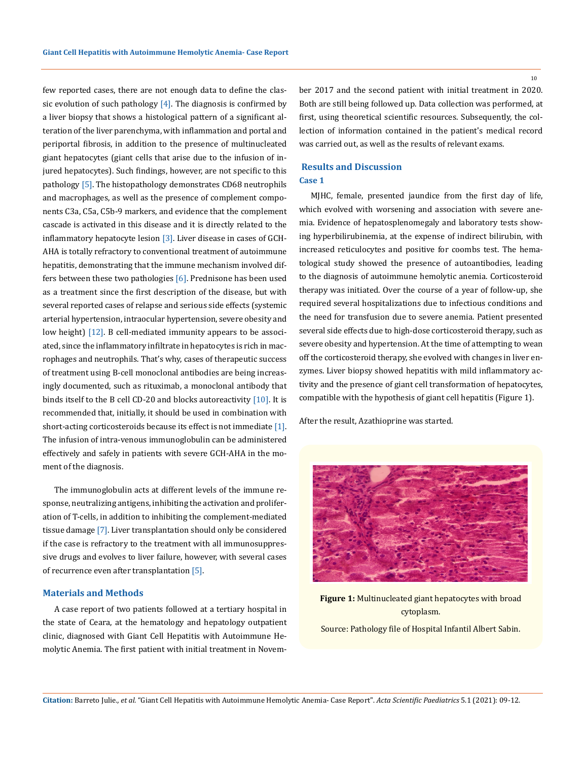few reported cases, there are not enough data to define the classic evolution of such pathology  $[4]$ . The diagnosis is confirmed by a liver biopsy that shows a histological pattern of a significant alteration of the liver parenchyma, with inflammation and portal and periportal fibrosis, in addition to the presence of multinucleated giant hepatocytes (giant cells that arise due to the infusion of injured hepatocytes). Such findings, however, are not specific to this pathology [5]. The histopathology demonstrates CD68 neutrophils and macrophages, as well as the presence of complement components C3a, C5a, C5b-9 markers, and evidence that the complement cascade is activated in this disease and it is directly related to the inflammatory hepatocyte lesion  $[3]$ . Liver disease in cases of GCH-AHA is totally refractory to conventional treatment of autoimmune hepatitis, demonstrating that the immune mechanism involved differs between these two pathologies [6]. Prednisone has been used as a treatment since the first description of the disease, but with several reported cases of relapse and serious side effects (systemic arterial hypertension, intraocular hypertension, severe obesity and low height) [12]. B cell-mediated immunity appears to be associated, since the inflammatory infiltrate in hepatocytes is rich in macrophages and neutrophils. That's why, cases of therapeutic success of treatment using B-cell monoclonal antibodies are being increasingly documented, such as rituximab, a monoclonal antibody that binds itself to the B cell CD-20 and blocks autoreactivity  $[10]$ . It is recommended that, initially, it should be used in combination with short-acting corticosteroids because its effect is not immediate [1]. The infusion of intra-venous immunoglobulin can be administered effectively and safely in patients with severe GCH-AHA in the moment of the diagnosis.

The immunoglobulin acts at different levels of the immune response, neutralizing antigens, inhibiting the activation and proliferation of T-cells, in addition to inhibiting the complement-mediated tissue damage [7]. Liver transplantation should only be considered if the case is refractory to the treatment with all immunosuppressive drugs and evolves to liver failure, however, with several cases of recurrence even after transplantation [5].

#### **Materials and Methods**

A case report of two patients followed at a tertiary hospital in the state of Ceara, at the hematology and hepatology outpatient clinic, diagnosed with Giant Cell Hepatitis with Autoimmune Hemolytic Anemia. The first patient with initial treatment in Novem10

ber 2017 and the second patient with initial treatment in 2020. Both are still being followed up. Data collection was performed, at first, using theoretical scientific resources. Subsequently, the collection of information contained in the patient's medical record was carried out, as well as the results of relevant exams.

# **Results and Discussion Case 1**

MJHC, female, presented jaundice from the first day of life, which evolved with worsening and association with severe anemia. Evidence of hepatosplenomegaly and laboratory tests showing hyperbilirubinemia, at the expense of indirect bilirubin, with increased reticulocytes and positive for coombs test. The hematological study showed the presence of autoantibodies, leading to the diagnosis of autoimmune hemolytic anemia. Corticosteroid therapy was initiated. Over the course of a year of follow-up, she required several hospitalizations due to infectious conditions and the need for transfusion due to severe anemia. Patient presented several side effects due to high-dose corticosteroid therapy, such as severe obesity and hypertension. At the time of attempting to wean off the corticosteroid therapy, she evolved with changes in liver enzymes. Liver biopsy showed hepatitis with mild inflammatory activity and the presence of giant cell transformation of hepatocytes, compatible with the hypothesis of giant cell hepatitis (Figure 1).

After the result, Azathioprine was started.



**Figure 1:** Multinucleated giant hepatocytes with broad cytoplasm. Source: Pathology file of Hospital Infantil Albert Sabin.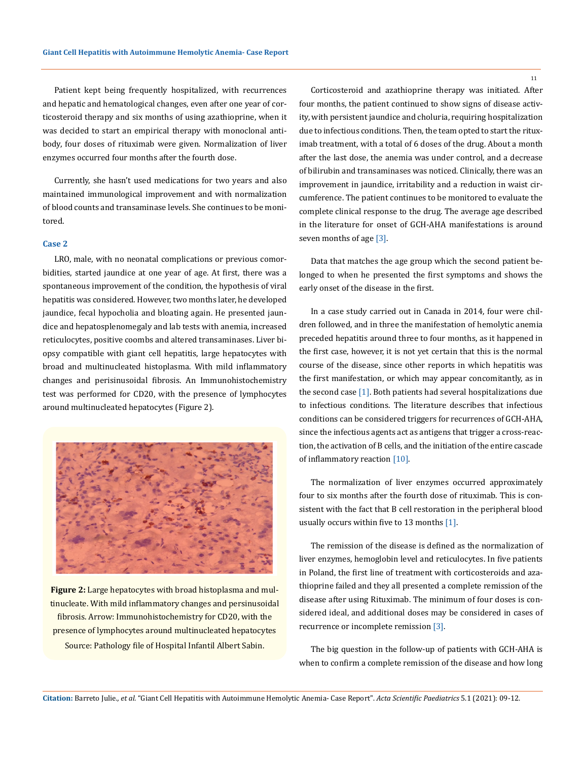Patient kept being frequently hospitalized, with recurrences and hepatic and hematological changes, even after one year of corticosteroid therapy and six months of using azathioprine, when it was decided to start an empirical therapy with monoclonal antibody, four doses of rituximab were given. Normalization of liver enzymes occurred four months after the fourth dose.

Currently, she hasn't used medications for two years and also maintained immunological improvement and with normalization of blood counts and transaminase levels. She continues to be monitored.

#### **Case 2**

LRO, male, with no neonatal complications or previous comorbidities, started jaundice at one year of age. At first, there was a spontaneous improvement of the condition, the hypothesis of viral hepatitis was considered. However, two months later, he developed jaundice, fecal hypocholia and bloating again. He presented jaundice and hepatosplenomegaly and lab tests with anemia, increased reticulocytes, positive coombs and altered transaminases. Liver biopsy compatible with giant cell hepatitis, large hepatocytes with broad and multinucleated histoplasma. With mild inflammatory changes and perisinusoidal fibrosis. An Immunohistochemistry test was performed for CD20, with the presence of lymphocytes around multinucleated hepatocytes (Figure 2).



**Figure 2:** Large hepatocytes with broad histoplasma and multinucleate. With mild inflammatory changes and persinusoidal fibrosis. Arrow: Immunohistochemistry for CD20, with the presence of lymphocytes around multinucleated hepatocytes Source: Pathology file of Hospital Infantil Albert Sabin.

Corticosteroid and azathioprine therapy was initiated. After four months, the patient continued to show signs of disease activity, with persistent jaundice and choluria, requiring hospitalization due to infectious conditions. Then, the team opted to start the rituximab treatment, with a total of 6 doses of the drug. About a month after the last dose, the anemia was under control, and a decrease of bilirubin and transaminases was noticed. Clinically, there was an improvement in jaundice, irritability and a reduction in waist circumference. The patient continues to be monitored to evaluate the complete clinical response to the drug. The average age described in the literature for onset of GCH-AHA manifestations is around seven months of age [3].

Data that matches the age group which the second patient belonged to when he presented the first symptoms and shows the early onset of the disease in the first.

In a case study carried out in Canada in 2014, four were children followed, and in three the manifestation of hemolytic anemia preceded hepatitis around three to four months, as it happened in the first case, however, it is not yet certain that this is the normal course of the disease, since other reports in which hepatitis was the first manifestation, or which may appear concomitantly, as in the second case [1]. Both patients had several hospitalizations due to infectious conditions. The literature describes that infectious conditions can be considered triggers for recurrences of GCH-AHA, since the infectious agents act as antigens that trigger a cross-reaction, the activation of B cells, and the initiation of the entire cascade of inflammatory reaction [10].

The normalization of liver enzymes occurred approximately four to six months after the fourth dose of rituximab. This is consistent with the fact that B cell restoration in the peripheral blood usually occurs within five to 13 months [1].

The remission of the disease is defined as the normalization of liver enzymes, hemoglobin level and reticulocytes. In five patients in Poland, the first line of treatment with corticosteroids and azathioprine failed and they all presented a complete remission of the disease after using Rituximab. The minimum of four doses is considered ideal, and additional doses may be considered in cases of recurrence or incomplete remission [3].

The big question in the follow-up of patients with GCH-AHA is when to confirm a complete remission of the disease and how long

11